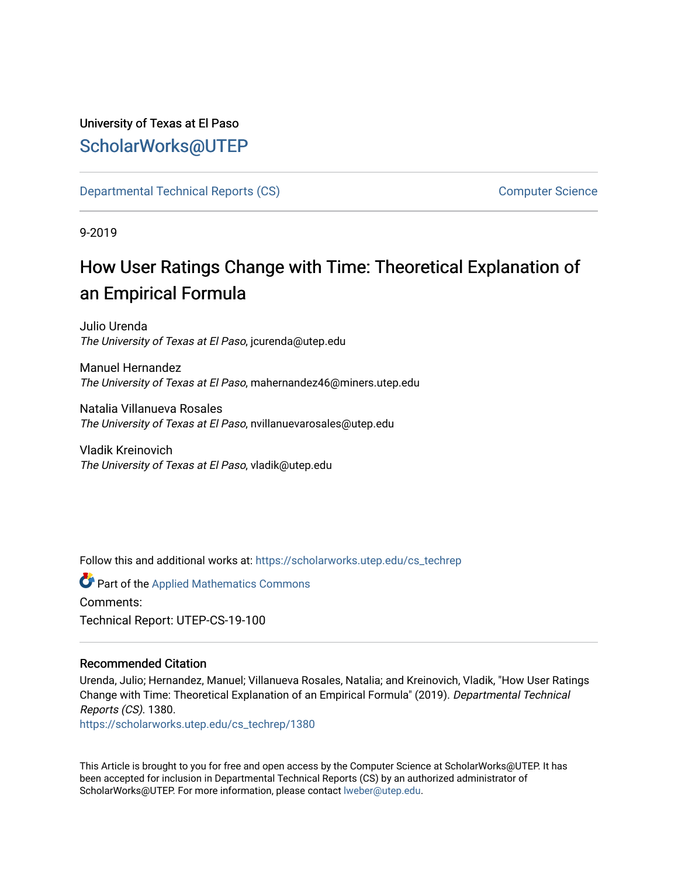## University of Texas at El Paso [ScholarWorks@UTEP](https://scholarworks.utep.edu/)

[Departmental Technical Reports \(CS\)](https://scholarworks.utep.edu/cs_techrep) [Computer Science](https://scholarworks.utep.edu/computer) 

9-2019

# How User Ratings Change with Time: Theoretical Explanation of an Empirical Formula

Julio Urenda The University of Texas at El Paso, jcurenda@utep.edu

Manuel Hernandez The University of Texas at El Paso, mahernandez46@miners.utep.edu

Natalia Villanueva Rosales The University of Texas at El Paso, nvillanuevarosales@utep.edu

Vladik Kreinovich The University of Texas at El Paso, vladik@utep.edu

Follow this and additional works at: [https://scholarworks.utep.edu/cs\\_techrep](https://scholarworks.utep.edu/cs_techrep?utm_source=scholarworks.utep.edu%2Fcs_techrep%2F1380&utm_medium=PDF&utm_campaign=PDFCoverPages) 

Part of the [Applied Mathematics Commons](http://network.bepress.com/hgg/discipline/115?utm_source=scholarworks.utep.edu%2Fcs_techrep%2F1380&utm_medium=PDF&utm_campaign=PDFCoverPages) Comments:

Technical Report: UTEP-CS-19-100

### Recommended Citation

Urenda, Julio; Hernandez, Manuel; Villanueva Rosales, Natalia; and Kreinovich, Vladik, "How User Ratings Change with Time: Theoretical Explanation of an Empirical Formula" (2019). Departmental Technical Reports (CS). 1380.

[https://scholarworks.utep.edu/cs\\_techrep/1380](https://scholarworks.utep.edu/cs_techrep/1380?utm_source=scholarworks.utep.edu%2Fcs_techrep%2F1380&utm_medium=PDF&utm_campaign=PDFCoverPages) 

This Article is brought to you for free and open access by the Computer Science at ScholarWorks@UTEP. It has been accepted for inclusion in Departmental Technical Reports (CS) by an authorized administrator of ScholarWorks@UTEP. For more information, please contact [lweber@utep.edu](mailto:lweber@utep.edu).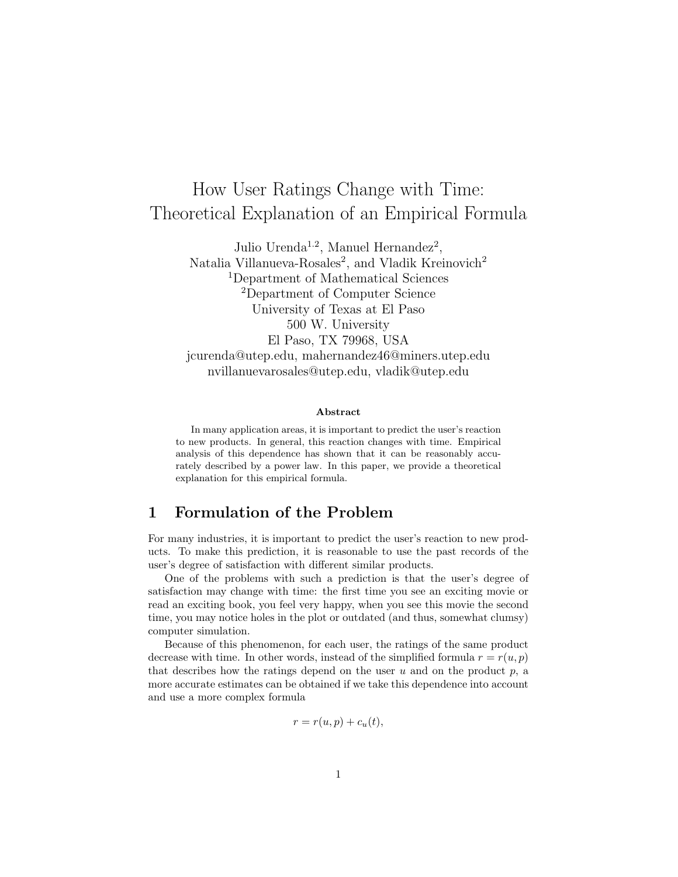## How User Ratings Change with Time: Theoretical Explanation of an Empirical Formula

Julio Urenda<sup>1.2</sup>, Manuel Hernandez<sup>2</sup>, Natalia Villanueva-Rosales<sup>2</sup>, and Vladik Kreinovich<sup>2</sup> <sup>1</sup>Department of Mathematical Sciences <sup>2</sup>Department of Computer Science University of Texas at El Paso 500 W. University El Paso, TX 79968, USA jcurenda@utep.edu, mahernandez46@miners.utep.edu nvillanuevarosales@utep.edu, vladik@utep.edu

#### Abstract

In many application areas, it is important to predict the user's reaction to new products. In general, this reaction changes with time. Empirical analysis of this dependence has shown that it can be reasonably accurately described by a power law. In this paper, we provide a theoretical explanation for this empirical formula.

## 1 Formulation of the Problem

For many industries, it is important to predict the user's reaction to new products. To make this prediction, it is reasonable to use the past records of the user's degree of satisfaction with different similar products.

One of the problems with such a prediction is that the user's degree of satisfaction may change with time: the first time you see an exciting movie or read an exciting book, you feel very happy, when you see this movie the second time, you may notice holes in the plot or outdated (and thus, somewhat clumsy) computer simulation.

Because of this phenomenon, for each user, the ratings of the same product decrease with time. In other words, instead of the simplified formula  $r = r(u, p)$ that describes how the ratings depend on the user  $u$  and on the product  $p$ , a more accurate estimates can be obtained if we take this dependence into account and use a more complex formula

$$
r = r(u, p) + c_u(t),
$$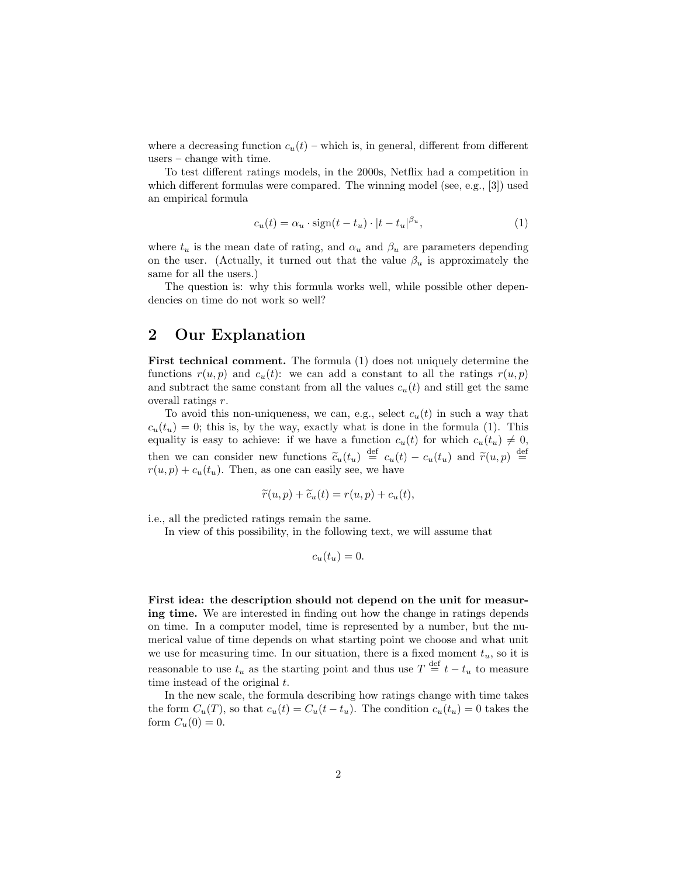where a decreasing function  $c_u(t)$  – which is, in general, different from different users – change with time.

To test different ratings models, in the 2000s, Netflix had a competition in which different formulas were compared. The winning model (see, e.g., [3]) used an empirical formula

$$
c_u(t) = \alpha_u \cdot \text{sign}(t - t_u) \cdot |t - t_u|^{\beta_u},\tag{1}
$$

where  $t_u$  is the mean date of rating, and  $\alpha_u$  and  $\beta_u$  are parameters depending on the user. (Actually, it turned out that the value  $\beta_u$  is approximately the same for all the users.)

The question is: why this formula works well, while possible other dependencies on time do not work so well?

## 2 Our Explanation

First technical comment. The formula (1) does not uniquely determine the functions  $r(u, p)$  and  $c_u(t)$ : we can add a constant to all the ratings  $r(u, p)$ and subtract the same constant from all the values  $c<sub>u</sub>(t)$  and still get the same overall ratings r.

To avoid this non-uniqueness, we can, e.g., select  $c<sub>u</sub>(t)$  in such a way that  $c_u(t_u) = 0$ ; this is, by the way, exactly what is done in the formula (1). This equality is easy to achieve: if we have a function  $c_u(t)$  for which  $c_u(t_u) \neq 0$ , then we can consider new functions  $\tilde{c}_u(t_u) \stackrel{\text{def}}{=} c_u(t) - c_u(t_u)$  and  $\tilde{r}(u, p) \stackrel{\text{def}}{=}$ <br> $r(u, v) + c_u(t_u)$ . Then as one can easily see we have  $r(u, p) + c_u(t_u)$ . Then, as one can easily see, we have

$$
\widetilde{r}(u, p) + \widetilde{c}_u(t) = r(u, p) + c_u(t),
$$

i.e., all the predicted ratings remain the same.

In view of this possibility, in the following text, we will assume that

$$
c_u(t_u)=0.
$$

First idea: the description should not depend on the unit for measuring time. We are interested in finding out how the change in ratings depends on time. In a computer model, time is represented by a number, but the numerical value of time depends on what starting point we choose and what unit we use for measuring time. In our situation, there is a fixed moment  $t<sub>u</sub>$ , so it is reasonable to use  $t_u$  as the starting point and thus use  $T \stackrel{\text{def}}{=} t - t_u$  to measure time instead of the original  $t$ .

In the new scale, the formula describing how ratings change with time takes the form  $C_u(T)$ , so that  $c_u(t) = C_u(t - t_u)$ . The condition  $c_u(t_u) = 0$  takes the form  $C_u(0) = 0$ .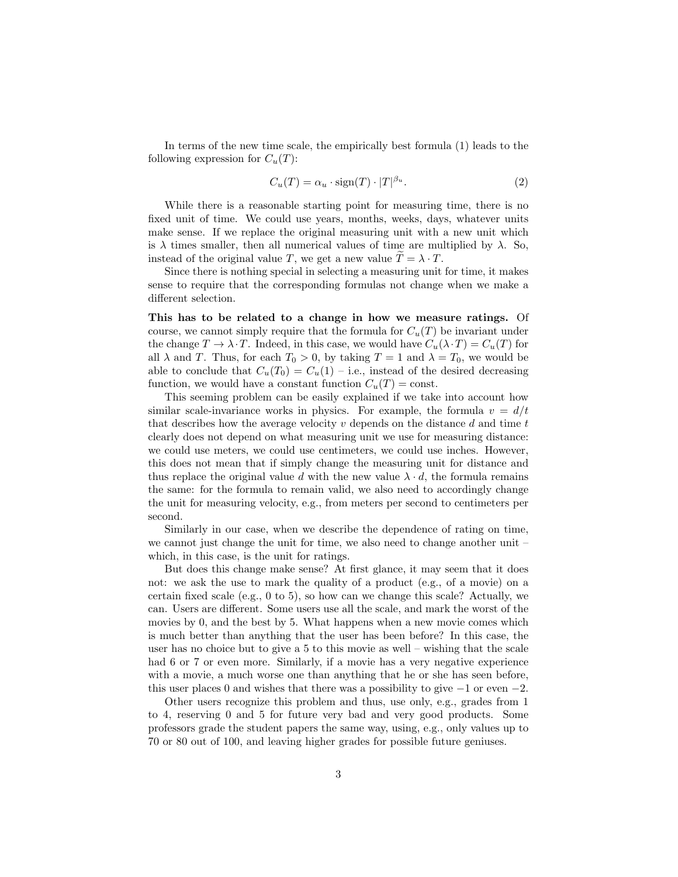In terms of the new time scale, the empirically best formula (1) leads to the following expression for  $C_u(T)$ :

$$
C_u(T) = \alpha_u \cdot \text{sign}(T) \cdot |T|^{\beta_u}.
$$
 (2)

While there is a reasonable starting point for measuring time, there is no fixed unit of time. We could use years, months, weeks, days, whatever units make sense. If we replace the original measuring unit with a new unit which is  $\lambda$  times smaller, then all numerical values of time are multiplied by  $\lambda$ . So, instead of the original value T, we get a new value  $T = \lambda \cdot T$ .

Since there is nothing special in selecting a measuring unit for time, it makes sense to require that the corresponding formulas not change when we make a different selection.

This has to be related to a change in how we measure ratings. Of course, we cannot simply require that the formula for  $C_u(T)$  be invariant under the change  $T \to \lambda \cdot T$ . Indeed, in this case, we would have  $C_u(\lambda \cdot T) = C_u(T)$  for all  $\lambda$  and T. Thus, for each  $T_0 > 0$ , by taking  $T = 1$  and  $\lambda = T_0$ , we would be able to conclude that  $C_u(T_0) = C_u(1) - i.e.,$  instead of the desired decreasing function, we would have a constant function  $C_u(T) = \text{const.}$ 

This seeming problem can be easily explained if we take into account how similar scale-invariance works in physics. For example, the formula  $v = d/t$ that describes how the average velocity v depends on the distance d and time  $t$ clearly does not depend on what measuring unit we use for measuring distance: we could use meters, we could use centimeters, we could use inches. However, this does not mean that if simply change the measuring unit for distance and thus replace the original value d with the new value  $\lambda \cdot d$ , the formula remains the same: for the formula to remain valid, we also need to accordingly change the unit for measuring velocity, e.g., from meters per second to centimeters per second.

Similarly in our case, when we describe the dependence of rating on time, we cannot just change the unit for time, we also need to change another unit – which, in this case, is the unit for ratings.

But does this change make sense? At first glance, it may seem that it does not: we ask the use to mark the quality of a product (e.g., of a movie) on a certain fixed scale (e.g., 0 to 5), so how can we change this scale? Actually, we can. Users are different. Some users use all the scale, and mark the worst of the movies by 0, and the best by 5. What happens when a new movie comes which is much better than anything that the user has been before? In this case, the user has no choice but to give a 5 to this movie as well – wishing that the scale had 6 or 7 or even more. Similarly, if a movie has a very negative experience with a movie, a much worse one than anything that he or she has seen before, this user places 0 and wishes that there was a possibility to give  $-1$  or even  $-2$ .

Other users recognize this problem and thus, use only, e.g., grades from 1 to 4, reserving 0 and 5 for future very bad and very good products. Some professors grade the student papers the same way, using, e.g., only values up to 70 or 80 out of 100, and leaving higher grades for possible future geniuses.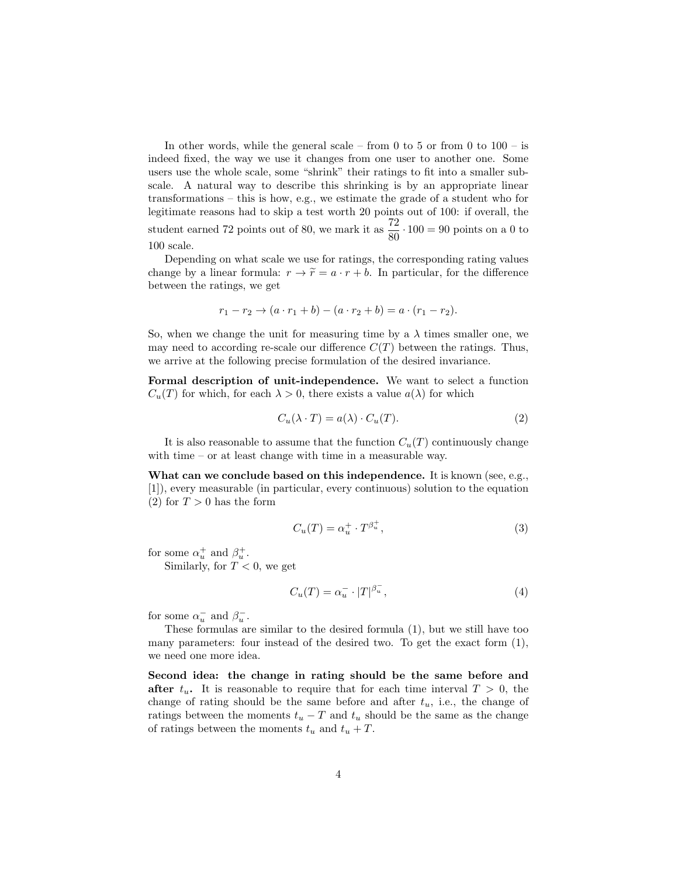In other words, while the general scale – from 0 to 5 or from 0 to  $100 -$  is indeed fixed, the way we use it changes from one user to another one. Some users use the whole scale, some "shrink" their ratings to fit into a smaller subscale. A natural way to describe this shrinking is by an appropriate linear transformations – this is how, e.g., we estimate the grade of a student who for legitimate reasons had to skip a test worth 20 points out of 100: if overall, the student earned 72 points out of 80, we mark it as  $\frac{72}{80} \cdot 100 = 90$  points on a 0 to 100 scale.

Depending on what scale we use for ratings, the corresponding rating values change by a linear formula:  $r \to \tilde{r} = a \cdot r + b$ . In particular, for the difference between the ratings, we get

$$
r_1 - r_2 \to (a \cdot r_1 + b) - (a \cdot r_2 + b) = a \cdot (r_1 - r_2).
$$

So, when we change the unit for measuring time by a  $\lambda$  times smaller one, we may need to according re-scale our difference  $C(T)$  between the ratings. Thus, we arrive at the following precise formulation of the desired invariance.

Formal description of unit-independence. We want to select a function  $C_u(T)$  for which, for each  $\lambda > 0$ , there exists a value  $a(\lambda)$  for which

$$
C_u(\lambda \cdot T) = a(\lambda) \cdot C_u(T). \tag{2}
$$

It is also reasonable to assume that the function  $C_u(T)$  continuously change with time – or at least change with time in a measurable way.

What can we conclude based on this independence. It is known (see, e.g., [1]), every measurable (in particular, every continuous) solution to the equation  $(2)$  for  $T > 0$  has the form

$$
C_u(T) = \alpha_u^+ \cdot T^{\beta_u^+},\tag{3}
$$

for some  $\alpha_u^+$  and  $\beta_u^+$ .

Similarly, for  $T < 0$ , we get

$$
C_u(T) = \alpha_u^- \cdot |T|^{\beta_u^-},\tag{4}
$$

for some  $\alpha_u^-$  and  $\beta_u^-$ .

These formulas are similar to the desired formula (1), but we still have too many parameters: four instead of the desired two. To get the exact form (1), we need one more idea.

Second idea: the change in rating should be the same before and after  $t_u$ . It is reasonable to require that for each time interval  $T > 0$ , the change of rating should be the same before and after  $t<sub>u</sub>$ , i.e., the change of ratings between the moments  $t<sub>u</sub> - T$  and  $t<sub>u</sub>$  should be the same as the change of ratings between the moments  $t_u$  and  $t_u + T$ .